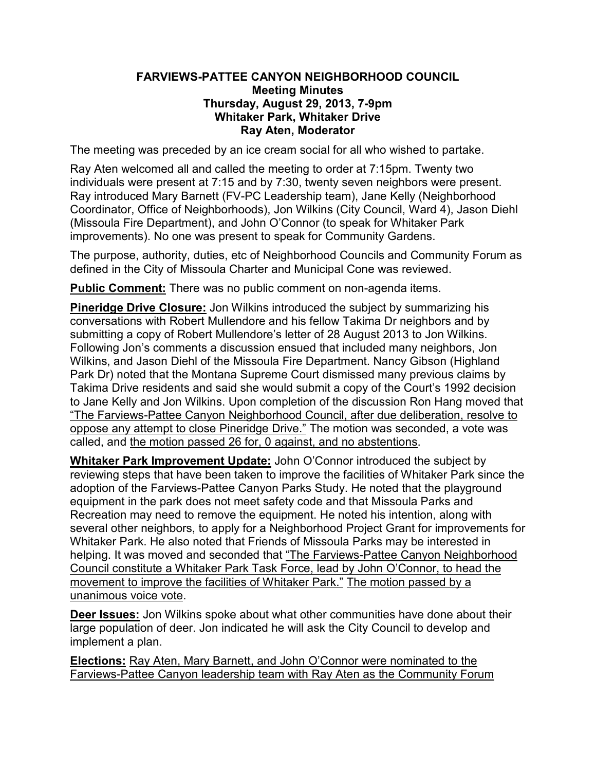## **FARVIEWS-PATTEE CANYON NEIGHBORHOOD COUNCIL Meeting Minutes Thursday, August 29, 2013, 7-9pm Whitaker Park, Whitaker Drive Ray Aten, Moderator**

The meeting was preceded by an ice cream social for all who wished to partake.

Ray Aten welcomed all and called the meeting to order at 7:15pm. Twenty two individuals were present at 7:15 and by 7:30, twenty seven neighbors were present. Ray introduced Mary Barnett (FV-PC Leadership team), Jane Kelly (Neighborhood Coordinator, Office of Neighborhoods), Jon Wilkins (City Council, Ward 4), Jason Diehl (Missoula Fire Department), and John O'Connor (to speak for Whitaker Park improvements). No one was present to speak for Community Gardens.

The purpose, authority, duties, etc of Neighborhood Councils and Community Forum as defined in the City of Missoula Charter and Municipal Cone was reviewed.

**Public Comment:** There was no public comment on non-agenda items.

**Pineridge Drive Closure:** Jon Wilkins introduced the subject by summarizing his conversations with Robert Mullendore and his fellow Takima Dr neighbors and by submitting a copy of Robert Mullendore's letter of 28 August 2013 to Jon Wilkins. Following Jon's comments a discussion ensued that included many neighbors, Jon Wilkins, and Jason Diehl of the Missoula Fire Department. Nancy Gibson (Highland Park Dr) noted that the Montana Supreme Court dismissed many previous claims by Takima Drive residents and said she would submit a copy of the Court's 1992 decision to Jane Kelly and Jon Wilkins. Upon completion of the discussion Ron Hang moved that "The Farviews-Pattee Canyon Neighborhood Council, after due deliberation, resolve to oppose any attempt to close Pineridge Drive." The motion was seconded, a vote was called, and the motion passed 26 for, 0 against, and no abstentions.

**Whitaker Park Improvement Update:** John O'Connor introduced the subject by reviewing steps that have been taken to improve the facilities of Whitaker Park since the adoption of the Farviews-Pattee Canyon Parks Study. He noted that the playground equipment in the park does not meet safety code and that Missoula Parks and Recreation may need to remove the equipment. He noted his intention, along with several other neighbors, to apply for a Neighborhood Project Grant for improvements for Whitaker Park. He also noted that Friends of Missoula Parks may be interested in helping. It was moved and seconded that "The Farviews-Pattee Canyon Neighborhood Council constitute a Whitaker Park Task Force, lead by John O'Connor, to head the movement to improve the facilities of Whitaker Park." The motion passed by a unanimous voice vote.

**Deer Issues:** Jon Wilkins spoke about what other communities have done about their large population of deer. Jon indicated he will ask the City Council to develop and implement a plan.

**Elections:** Ray Aten, Mary Barnett, and John O'Connor were nominated to the Farviews-Pattee Canyon leadership team with Ray Aten as the Community Forum